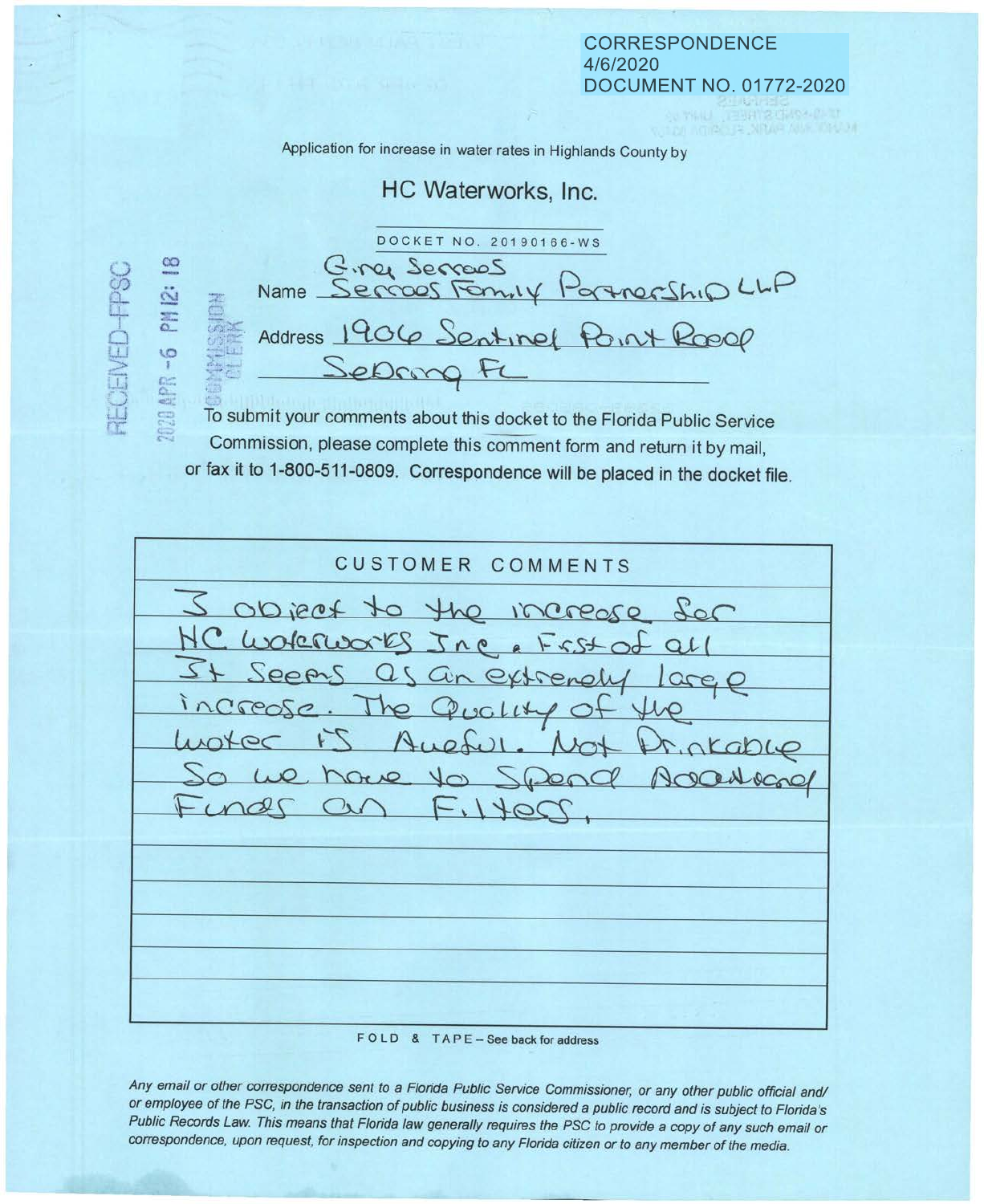## **CORRESPONDENCE** 4/6/2020 **DOCUMENT NO. 01772-2020**

Application for increase in water rates in Highlands County by

## HC Waterworks, Inc.

DOCKET NO. 20190166-WS Birey Serrows<br>Name Serrows Formity Portnership LLP PN 12: Address 1906 Sentinel Point Roof 2020 APR -6 Sepang F

**RECEIVED-PSC** 

To submit your comments about this docket to the Florida Public Service Commission, please complete this comment form and return it by mail, or fax it to 1-800-511-0809. Correspondence will be placed in the docket file.

| <b>CUSTOMER COMMENTS</b>                                                                                                                                                                                                  |
|---------------------------------------------------------------------------------------------------------------------------------------------------------------------------------------------------------------------------|
| I object to the increase for<br>NC Wokner 5 Jne & Frst of all<br>It Seems as an extrenely large<br>increase. The Quality of the<br>Luotec I'S Aueful. Not Printable<br>So we have to Spend Adortogal<br>Funds on Filtess. |
|                                                                                                                                                                                                                           |

FOLD & TAPE - See back for address

Any email or other correspondence sent to a Florida Public Service Commissioner, or any other public official and/ or employee of the PSC, in the transaction of public business is considered a public record and is subject to Florida's Public Records Law. This means that Florida law generally requires the PSC to provide a copy of any such email or correspondence, upon request, for inspection and copying to any Florida citizen or to any member of the media.